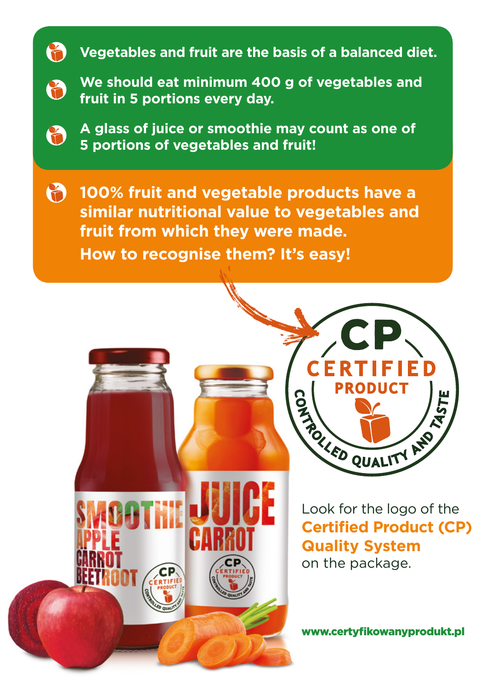

**Vegetables and fruit are the basis of a balanced diet.** 



**We should eat minimum 400 g of vegetables and fruit in 5 portions every day.**



**A glass of juice or smoothie may count as one of 5 portions of vegetables and fruit!**

 $\bigcirc$ **100% fruit and vegetable products have a similar nutritional value to vegetables and fruit from which they were made. How to recognise them? It's easy!**